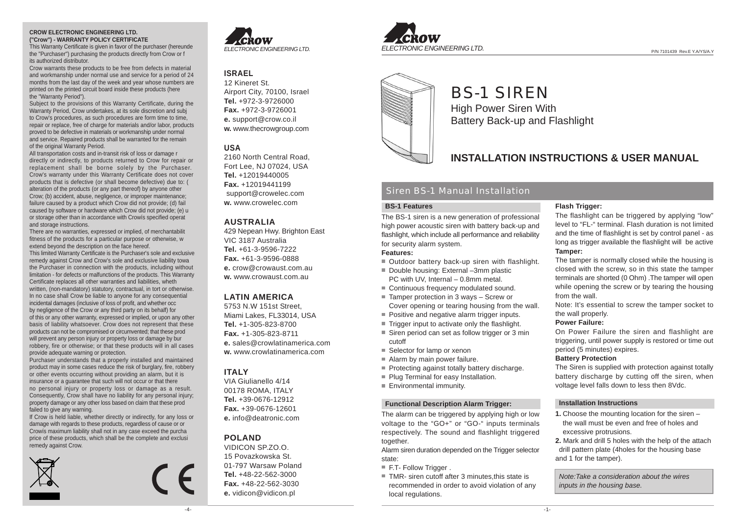#### **CROW ELECTRONIC ENGINEERING LTD. ("Crow") - WARRANTY POLICY CERTIFICATE**

This Warranty Certificate is given in favor of the purchaser (hereunde the "Purchaser") purchasing the products directly from Crow or f its authorized distributor.

Crow warrants these products to be free from defects in material and workmanship under normal use and service for a period of 24 months from the last day of the week and year whose numbers are printed on the printed circuit board inside these products (here the "Warranty Period").

Subject to the provisions of this Warranty Certificate, during the Warranty Period, Crow undertakes, at its sole discretion and subj to Crow's procedures, as such procedures are form time to time, repair or replace, free of charge for materials and/or labor, products proved to be defective in materials or workmanship under normal and service. Repaired products shall be warranted for the remain of the original Warranty Period.

All transportation costs and in-transit risk of loss or damage r directly or indirectly, to products returned to Crow for repair or replacement shall be borne solely by the Purchaser. Crow's warranty under this Warranty Certificate does not cover products that is defective (or shall become defective) due to: ( alteration of the products (or any part thereof) by anyone other Crow; (b) accident, abuse, negligence, or improper maintenance; failure caused by a product which Crow did not provide; (d) fail caused by software or hardware which Crow did not provide; (e) u or storage other than in accordance with Crowís specified operat and storage instructions.

There are no warranties, expressed or implied, of merchantabilit fitness of the products for a particular purpose or otherwise, w extend beyond the description on the face hereof.

This limited Warranty Certificate is the Purchaser's sole and exclusive remedy against Crow and Crow's sole and exclusive liability towa the Purchaser in connection with the products, including without limitation - for defects or malfunctions of the products. This Warranty Certificate replaces all other warranties and liabilities, wheth written, (non-mandatory) statutory, contractual, in tort or otherwise. In no case shall Crow be liable to anyone for any consequential incidental damages (inclusive of loss of profit, and whether occ by negligence of the Crow or any third party on its behalf) for of this or any other warranty, expressed or implied, or upon any other basis of liability whatsoever. Crow does not represent that these products can not be compromised or circumvented; that these prod will prevent any person injury or property loss or damage by bur robbery, fire or otherwise; or that these products will in all cases provide adequate warning or protection.

Purchaser understands that a properly installed and maintained product may in some cases reduce the risk of burglary, fire, robbery or other events occurring without providing an alarm, but it is insurance or a guarantee that such will not occur or that there no personal injury or property loss or damage as a result. Consequently, Crow shall have no liability for any personal injury; property damage or any other loss based on claim that these prod failed to give any warning.

If Crow is held liable, whether directly or indirectly, for any loss or damage with regards to these products, regardless of cause or or Crowís maximum liability shall not in any case exceed the purcha price of these products, which shall be the complete and exclusi remedy against Crow.







## **ISRAEL**

12 Kineret St. Airport City, 70100, Israel **Tel.** +972-3-9726000 **Fax.** +972-3-9726001 **e.** support@crow.co.il **w.** www.thecrowgroup.com

## **USA**

2160 North Central Road, Fort Lee, NJ 07024, USA **Tel.** +12019440005 **Fax.** +12019441199 support@crowelec.com **w.** www.crowelec.com

## **AUSTRALIA**

429 Nepean Hwy. Brighton East VIC 3187 Australia **Tel.** +61-3-9596-7222 **Fax.** +61-3-9596-0888 **e.** crow@crowaust.com.au **w.** www.crowaust.com.au

## **LATIN AMERICA**

5753 N.W 151st Street, Miami Lakes, FL33014, USA **Tel.** +1-305-823-8700 **Fax.** +1-305-823-8711 **e.** sales@crowlatinamerica.com **w.** www.crowlatinamerica.com

## **ITALY**

VIA Giulianello 4/14 00178 ROMA, ITALY **Tel.** +39-0676-12912 **Fax.** +39-0676-12601 **e.** info@deatronic.com

## **POLAND**

VIDICON SP.ZO.O. 15 Povazkowska St. 01-797 Warsaw Poland **Tel.** +48-22-562-3000 **Fax.** +48-22-562-3030 **e.** vidicon@vidicon.pl



# BS-1 SIREN High Power Siren With Battery Back-up and Flashlight

## **INSTALLATION INSTRUCTIONS & USER MANUAL**

## Siren BS-1 Manual Installation

### **BS-1 Features**

The BS-1 siren is a new generation of professional high power acoustic siren with battery back-up and flashlight, which include all performance and reliability for security alarm system.

### **Features:**

- Outdoor battery back-up siren with flashlight.
- Double housing: External -3mm plastic PC with UV, Internal – 0.8mm metal.
- Continuous frequency modulated sound.
- Tamper protection in 3 ways Screw or
- Cover opening or tearing housing from the wall.
- Positive and negative alarm trigger inputs.
- Trigger input to activate only the flashlight.
- Siren period can set as follow trigger or 3 min cutoff
- Selector for lamp or xenon
- Alarm by main power failure.
- Protecting against totally battery discharge.
- Plug Terminal for easy Installation.
- **Environmental immunity.**

#### **Functional Description Alarm Trigger:**

The alarm can be triggered by applying high or low voltage to the "GO+" or "GO-" inputs terminals respectively. The sound and flashlight triggered together.

Alarm siren duration depended on the Trigger selector state:

- F.T- Follow Trigger .
- TMR- siren cutoff after 3 minutes, this state is recommended in order to avoid violation of any local regulations.

## **Flash Trigger:**

The flashlight can be triggered by applying "low" level to "FL-" terminal. Flash duration is not limited and the time of flashlight is set by control panel - as long as trigger available the flashlight will be active **Tamper:**

The tamper is normally closed while the housing is closed with the screw, so in this state the tamper terminals are shorted (0 Ohm) .The tamper will open while opening the screw or by tearing the housing from the wall.

Note: It's essential to screw the tamper socket to the wall properly.

### **Power Failure:**

On Power Failure the siren and flashlight are triggering, until power supply is restored or time out period (5 minutes) expires.

#### **Battery Protection**

The Siren is supplied with protection against totally battery discharge by cutting off the siren, when voltage level falls down to less then 8Vdc.

#### **Installation Instructions**

- **1.** Choose the mounting location for the siren the wall must be even and free of holes and excessive protrusions.
- **2.** Mark and drill 5 holes with the help of the attach drill pattern plate (4holes for the housing base and 1 for the tamper).

*Note:Take a consideration about the wires inputs in the housing base.*